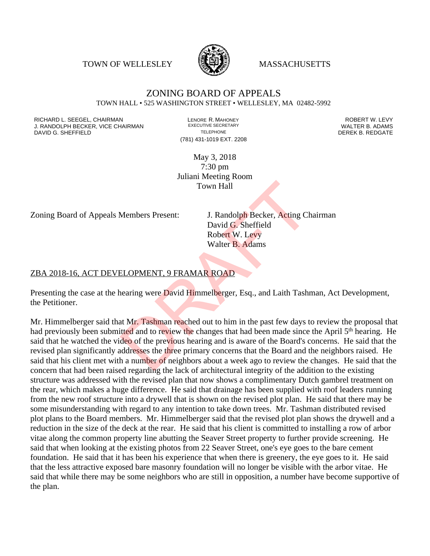TOWN OF WELLESLEY WASSACHUSETTS



#### ZONING BOARD OF APPEALS TOWN HALL • 525 WASHINGTON STREET • WELLESLEY, MA 02482-5992

RICHARD L. SEEGEL, CHAIRMAN LENORE R. MAHONEY LENORE R. MAHONEY LEVY ROBERT W. LEVY LEVY LEVY LEVY LEVY LEVY LE<br>
J. RANDOLPH BECKER, VICE CHAIRMAN LEXECUTIVE SECRETARY LETTER AND LEVEL B. ADAMS J. RANDOLPH BECKER, VICE CHAIRMAN EXECUTIVE SECRETARY THE SECRETARY THE SANDOLPH BECKER B. ADAMS<br>DEREK B. REDGATE DAVID G. SHEFFIELD

(781) 431-1019 EXT. 2208

May 3, 2018 7:30 pm Juliani Meeting Room Town Hall

Zoning Board of Appeals Members Present: J. Randolph Becker, Acting Chairman

David G. Sheffield Robert W. Levy Walter B. Adams

#### ZBA 2018-16, ACT DEVELOPMENT, 9 FRAMAR ROAD

Presenting the case at the hearing were David Himmelberger, Esq., and Laith Tashman, Act Development, the Petitioner.

Mr. Himmelberger said that Mr. Tashman reached out to him in the past few days to review the proposal that had previously been submitted and to review the changes that had been made since the April 5<sup>th</sup> hearing. He said that he watched the video of the previous hearing and is aware of the Board's concerns. He said that the revised plan significantly addresses the three primary concerns that the Board and the neighbors raised. He said that his client met with a number of neighbors about a week ago to review the changes. He said that the concern that had been raised regarding the lack of architectural integrity of the addition to the existing structure was addressed with the revised plan that now shows a complimentary Dutch gambrel treatment on the rear, which makes a huge difference. He said that drainage has been supplied with roof leaders running from the new roof structure into a drywell that is shown on the revised plot plan. He said that there may be some misunderstanding with regard to any intention to take down trees. Mr. Tashman distributed revised plot plans to the Board members. Mr. Himmelberger said that the revised plot plan shows the drywell and a reduction in the size of the deck at the rear. He said that his client is committed to installing a row of arbor vitae along the common property line abutting the Seaver Street property to further provide screening. He said that when looking at the existing photos from 22 Seaver Street, one's eye goes to the bare cement foundation. He said that it has been his experience that when there is greenery, the eye goes to it. He said that the less attractive exposed bare masonry foundation will no longer be visible with the arbor vitae. He said that while there may be some neighbors who are still in opposition, a number have become supportive of the plan. Town Hall<br>
Members Present: J. Randolph Becker, Acting C<br>
David G. Sheffield<br>
Robert W. Levy<br>
Walter B. Adams<br>
ELOPMENT, 9 FRAMAR ROAD<br>
earing were David Himmelberger, Esq., and Laith Tash<br>
at Mr. Tashman reached out to hi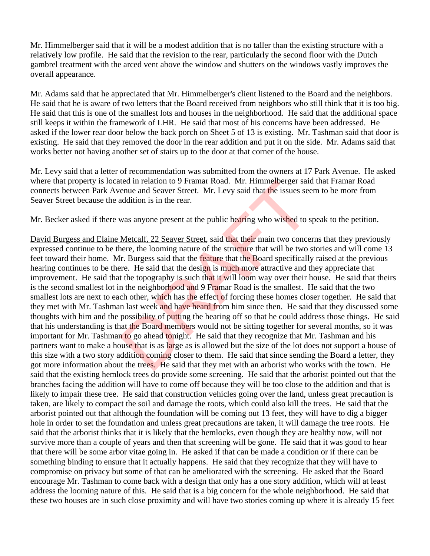Mr. Himmelberger said that it will be a modest addition that is no taller than the existing structure with a relatively low profile. He said that the revision to the rear, particularly the second floor with the Dutch gambrel treatment with the arced vent above the window and shutters on the windows vastly improves the overall appearance.

Mr. Adams said that he appreciated that Mr. Himmelberger's client listened to the Board and the neighbors. He said that he is aware of two letters that the Board received from neighbors who still think that it is too big. He said that this is one of the smallest lots and houses in the neighborhood. He said that the additional space still keeps it within the framework of LHR. He said that most of his concerns have been addressed. He asked if the lower rear door below the back porch on Sheet 5 of 13 is existing. Mr. Tashman said that door is existing. He said that they removed the door in the rear addition and put it on the side. Mr. Adams said that works better not having another set of stairs up to the door at that corner of the house.

Mr. Levy said that a letter of recommendation was submitted from the owners at 17 Park Avenue. He asked where that property is located in relation to 9 Framar Road. Mr. Himmelberger said that Framar Road connects between Park Avenue and Seaver Street. Mr. Levy said that the issues seem to be more from Seaver Street because the addition is in the rear.

Mr. Becker asked if there was anyone present at the public hearing who wished to speak to the petition.

David Burgess and Elaine Metcalf, 22 Seaver Street, said that their main two concerns that they previously expressed continue to be there, the looming nature of the structure that will be two stories and will come 13 feet toward their home. Mr. Burgess said that the feature that the Board specifically raised at the previous hearing continues to be there. He said that the design is much more attractive and they appreciate that improvement. He said that the topography is such that it will loom way over their house. He said that theirs is the second smallest lot in the neighborhood and 9 Framar Road is the smallest. He said that the two smallest lots are next to each other, which has the effect of forcing these homes closer together. He said that they met with Mr. Tashman last week and have heard from him since then. He said that they discussed some thoughts with him and the possibility of putting the hearing off so that he could address those things. He said that his understanding is that the Board members would not be sitting together for several months, so it was important for Mr. Tashman to go ahead tonight. He said that they recognize that Mr. Tashman and his partners want to make a house that is as large as is allowed but the size of the lot does not support a house of this size with a two story addition coming closer to them. He said that since sending the Board a letter, they got more information about the trees. He said that they met with an arborist who works with the town. He said that the existing hemlock trees do provide some screening. He said that the arborist pointed out that the branches facing the addition will have to come off because they will be too close to the addition and that is likely to impair these tree. He said that construction vehicles going over the land, unless great precaution is taken, are likely to compact the soil and damage the roots, which could also kill the trees. He said that the arborist pointed out that although the foundation will be coming out 13 feet, they will have to dig a bigger hole in order to set the foundation and unless great precautions are taken, it will damage the tree roots. He said that the arborist thinks that it is likely that the hemlocks, even though they are healthy now, will not survive more than a couple of years and then that screening will be gone. He said that it was good to hear that there will be some arbor vitae going in. He asked if that can be made a condition or if there can be something binding to ensure that it actually happens. He said that they recognize that they will have to compromise on privacy but some of that can be ameliorated with the screening. He asked that the Board encourage Mr. Tashman to come back with a design that only has a one story addition, which will at least address the looming nature of this. He said that is a big concern for the whole neighborhood. He said that these two houses are in such close proximity and will have two stories coming up where it is already 15 feet ted in relation to 9 Framar Road. Mr. Himmelberger sale<br>enue and Seaver Street. Mr. Levy said that the issues see<br>addition is in the rear.<br>was anyone present at the public hearing who wished to s<br>Metcalf, 22 Seaver Street,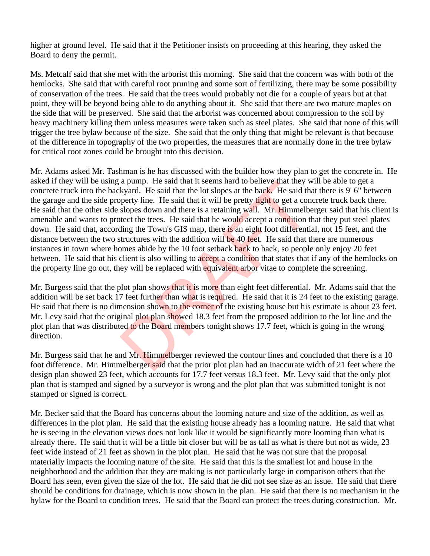higher at ground level. He said that if the Petitioner insists on proceeding at this hearing, they asked the Board to deny the permit.

Ms. Metcalf said that she met with the arborist this morning. She said that the concern was with both of the hemlocks. She said that with careful root pruning and some sort of fertilizing, there may be some possibility of conservation of the trees. He said that the trees would probably not die for a couple of years but at that point, they will be beyond being able to do anything about it. She said that there are two mature maples on the side that will be preserved. She said that the arborist was concerned about compression to the soil by heavy machinery killing them unless measures were taken such as steel plates. She said that none of this will trigger the tree bylaw because of the size. She said that the only thing that might be relevant is that because of the difference in topography of the two properties, the measures that are normally done in the tree bylaw for critical root zones could be brought into this decision.

Mr. Adams asked Mr. Tashman is he has discussed with the builder how they plan to get the concrete in. He asked if they will be using a pump. He said that it seems hard to believe that they will be able to get a concrete truck into the backyard. He said that the lot slopes at the back. He said that there is 9' 6" between the garage and the side property line. He said that it will be pretty tight to get a concrete truck back there. He said that the other side slopes down and there is a retaining wall. Mr. Himmelberger said that his client is amenable and wants to protect the trees. He said that he would accept a condition that they put steel plates down. He said that, according the Town's GIS map, there is an eight foot differential, not 15 feet, and the distance between the two structures with the addition will be 40 feet. He said that there are numerous instances in town where homes abide by the 10 foot setback back to back, so people only enjoy 20 feet between. He said that his client is also willing to accept a condition that states that if any of the hemlocks on the property line go out, they will be replaced with equivalent arbor vitae to complete the screening. a pump. He said that it seems hard to believe that they v<br>kyard. He said that the lot slopes at the back. He said th<br>perty line. He said that it will be pretty tight to get a con<br>slopes down and there is a retaining wall.

Mr. Burgess said that the plot plan shows that it is more than eight feet differential. Mr. Adams said that the addition will be set back 17 feet further than what is required. He said that it is 24 feet to the existing garage. He said that there is no dimension shown to the corner of the existing house but his estimate is about 23 feet. Mr. Levy said that the original plot plan showed 18.3 feet from the proposed addition to the lot line and the plot plan that was distributed to the Board members tonight shows 17.7 feet, which is going in the wrong direction.

Mr. Burgess said that he and Mr. Himmelberger reviewed the contour lines and concluded that there is a 10 foot difference. Mr. Himmelberger said that the prior plot plan had an inaccurate width of 21 feet where the design plan showed 23 feet, which accounts for 17.7 feet versus 18.3 feet. Mr. Levy said that the only plot plan that is stamped and signed by a surveyor is wrong and the plot plan that was submitted tonight is not stamped or signed is correct.

Mr. Becker said that the Board has concerns about the looming nature and size of the addition, as well as differences in the plot plan. He said that the existing house already has a looming nature. He said that what he is seeing in the elevation views does not look like it would be significantly more looming than what is already there. He said that it will be a little bit closer but will be as tall as what is there but not as wide, 23 feet wide instead of 21 feet as shown in the plot plan. He said that he was not sure that the proposal materially impacts the looming nature of the site. He said that this is the smallest lot and house in the neighborhood and the addition that they are making is not particularly large in comparison others that the Board has seen, even given the size of the lot. He said that he did not see size as an issue. He said that there should be conditions for drainage, which is now shown in the plan. He said that there is no mechanism in the bylaw for the Board to condition trees. He said that the Board can protect the trees during construction. Mr.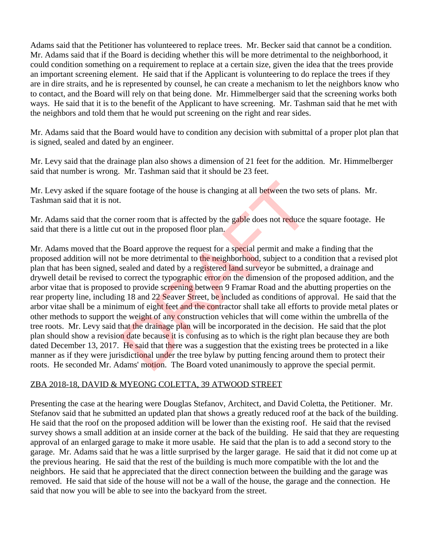Adams said that the Petitioner has volunteered to replace trees. Mr. Becker said that cannot be a condition. Mr. Adams said that if the Board is deciding whether this will be more detrimental to the neighborhood, it could condition something on a requirement to replace at a certain size, given the idea that the trees provide an important screening element. He said that if the Applicant is volunteering to do replace the trees if they are in dire straits, and he is represented by counsel, he can create a mechanism to let the neighbors know who to contact, and the Board will rely on that being done. Mr. Himmelberger said that the screening works both ways. He said that it is to the benefit of the Applicant to have screening. Mr. Tashman said that he met with the neighbors and told them that he would put screening on the right and rear sides.

Mr. Adams said that the Board would have to condition any decision with submittal of a proper plot plan that is signed, sealed and dated by an engineer.

Mr. Levy said that the drainage plan also shows a dimension of 21 feet for the addition. Mr. Himmelberger said that number is wrong. Mr. Tashman said that it should be 23 feet.

Mr. Levy asked if the square footage of the house is changing at all between the two sets of plans. Mr. Tashman said that it is not.

Mr. Adams said that the corner room that is affected by the gable does not reduce the square footage. He said that there is a little cut out in the proposed floor plan.

Mr. Adams moved that the Board approve the request for a special permit and make a finding that the proposed addition will not be more detrimental to the neighborhood, subject to a condition that a revised plot plan that has been signed, sealed and dated by a registered land surveyor be submitted, a drainage and drywell detail be revised to correct the typographic error on the dimension of the proposed addition, and the arbor vitae that is proposed to provide screening between 9 Framar Road and the abutting properties on the rear property line, including 18 and 22 Seaver Street, be included as conditions of approval. He said that the arbor vitae shall be a minimum of eight feet and the contractor shall take all efforts to provide metal plates or other methods to support the weight of any construction vehicles that will come within the umbrella of the tree roots. Mr. Levy said that the drainage plan will be incorporated in the decision. He said that the plot plan should show a revision date because it is confusing as to which is the right plan because they are both dated December 13, 2017. He said that there was a suggestion that the existing trees be protected in a like manner as if they were jurisdictional under the tree bylaw by putting fencing around them to protect their roots. He seconded Mr. Adams' motion. The Board voted unanimously to approve the special permit. are footage of the house is changing at all between the two<br>
Dread of the house is changing at all between the two<br>
Dread of the proposed floor plan.<br>
Board approve the request for a special permit and make<br>
be more detrim

### ZBA 2018-18, DAVID & MYEONG COLETTA, 39 ATWOOD STREET

Presenting the case at the hearing were Douglas Stefanov, Architect, and David Coletta, the Petitioner. Mr. Stefanov said that he submitted an updated plan that shows a greatly reduced roof at the back of the building. He said that the roof on the proposed addition will be lower than the existing roof. He said that the revised survey shows a small addition at an inside corner at the back of the building. He said that they are requesting approval of an enlarged garage to make it more usable. He said that the plan is to add a second story to the garage. Mr. Adams said that he was a little surprised by the larger garage. He said that it did not come up at the previous hearing. He said that the rest of the building is much more compatible with the lot and the neighbors. He said that he appreciated that the direct connection between the building and the garage was removed. He said that side of the house will not be a wall of the house, the garage and the connection. He said that now you will be able to see into the backyard from the street.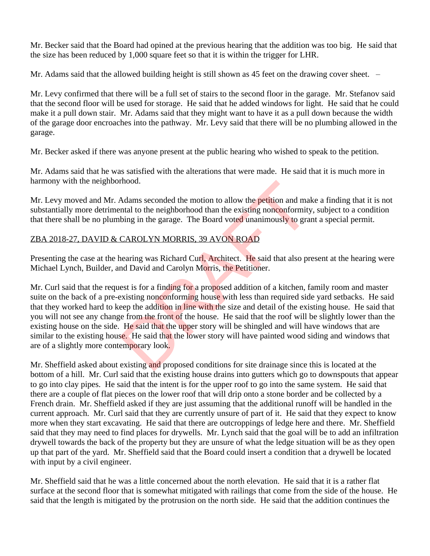Mr. Becker said that the Board had opined at the previous hearing that the addition was too big. He said that the size has been reduced by 1,000 square feet so that it is within the trigger for LHR.

Mr. Adams said that the allowed building height is still shown as 45 feet on the drawing cover sheet. –

Mr. Levy confirmed that there will be a full set of stairs to the second floor in the garage. Mr. Stefanov said that the second floor will be used for storage. He said that he added windows for light. He said that he could make it a pull down stair. Mr. Adams said that they might want to have it as a pull down because the width of the garage door encroaches into the pathway. Mr. Levy said that there will be no plumbing allowed in the garage.

Mr. Becker asked if there was anyone present at the public hearing who wished to speak to the petition.

Mr. Adams said that he was satisfied with the alterations that were made. He said that it is much more in harmony with the neighborhood.

Mr. Levy moved and Mr. Adams seconded the motion to allow the **petition** and make a finding that it is not substantially more detrimental to the neighborhood than the existing nonconformity, subject to a condition that there shall be no plumbing in the garage. The Board voted unanimously to grant a special permit.

## ZBA 2018-27, DAVID & CAROLYN MORRIS, 39 AVON ROAD

Presenting the case at the hearing was Richard Curl, Architect. He said that also present at the hearing were Michael Lynch, Builder, and David and Carolyn Morris, the Petitioner.

Mr. Curl said that the request is for a finding for a proposed addition of a kitchen, family room and master suite on the back of a pre-existing nonconforming house with less than required side yard setbacks. He said that they worked hard to keep the addition in line with the size and detail of the existing house. He said that you will not see any change from the front of the house. He said that the roof will be slightly lower than the existing house on the side. He said that the upper story will be shingled and will have windows that are similar to the existing house. He said that the lower story will have painted wood siding and windows that are of a slightly more contemporary look. Thood.<br>
Adams seconded the motion to allow the **petition** and maintal to the neighborhood than the existing nonconformity<br>
bing in the garage. The Board voted unanimously to gra<br>
CAROLYN MORRIS, 39 AVON ROAD<br>
nearing was R

Mr. Sheffield asked about existing and proposed conditions for site drainage since this is located at the bottom of a hill. Mr. Curl said that the existing house drains into gutters which go to downspouts that appear to go into clay pipes. He said that the intent is for the upper roof to go into the same system. He said that there are a couple of flat pieces on the lower roof that will drip onto a stone border and be collected by a French drain. Mr. Sheffield asked if they are just assuming that the additional runoff will be handled in the current approach. Mr. Curl said that they are currently unsure of part of it. He said that they expect to know more when they start excavating. He said that there are outcroppings of ledge here and there. Mr. Sheffield said that they may need to find places for drywells. Mr. Lynch said that the goal will be to add an infiltration drywell towards the back of the property but they are unsure of what the ledge situation will be as they open up that part of the yard. Mr. Sheffield said that the Board could insert a condition that a drywell be located with input by a civil engineer.

Mr. Sheffield said that he was a little concerned about the north elevation. He said that it is a rather flat surface at the second floor that is somewhat mitigated with railings that come from the side of the house. He said that the length is mitigated by the protrusion on the north side. He said that the addition continues the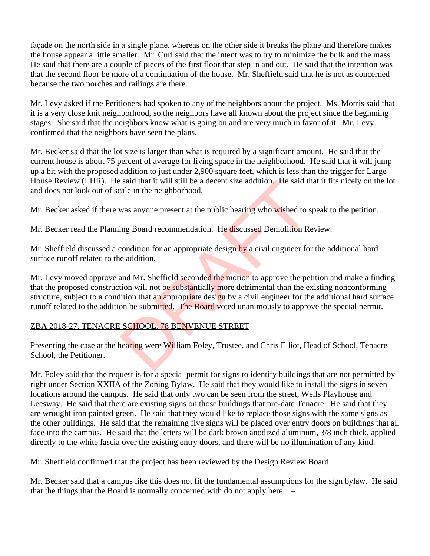façade on the north side in a single plane, whereas on the other side it breaks the plane and therefore makes the house appear a little smaller. Mr. Curl said that the intent was to try to minimize the bulk and the mass. He said that there are a couple of pieces of the first floor that step in and out. He said that the intention was that the second floor be more of a continuation of the house. Mr. Sheffield said that he is not as concerned because the two porches and railings are there.

Mr. Levy asked if the Petitioners had spoken to any of the neighbors about the project. Ms. Morris said that it is a very close knit neighborhood, so the neighbors have all known about the project since the beginning stages. She said that the neighbors know what is going on and are very much in favor of it. Mr. Levy confirmed that the neighbors have seen the plans.

Mr. Becker said that the lot size is larger than what is required by a significant amount. He said that the current house is about 75 percent of average for living space in the neighborhood. He said that it will jump up a bit with the proposed addition to just under 2,900 square feet, which is less than the trigger for Large House Review (LHR). He said that it will still be a decent size addition. He said that it fits nicely on the lot and does not look out of scale in the neighborhood.

Mr. Becker asked if there was anyone present at the public hearing who wished to speak to the petition.

Mr. Becker read the Planning Board recommendation. He discussed Demolition Review.

Mr. Sheffield discussed a condition for an appropriate design by a civil engineer for the additional hard surface runoff related to the addition.

Mr. Levy moved approve and Mr. Sheffield seconded the motion to approve the petition and make a finding that the proposed construction will not be substantially more detrimental than the existing nonconforming structure, subject to a condition that an appropriate design by a civil engineer for the additional hard surface runoff related to the addition be submitted. The Board voted unanimously to approve the special permit. sala that it will still be a decent size addition. He sala that it will still be a decent size addition. He sala that also interest at the public hearing who wished to sing Board recommendation. He discussed Demolition Rec

### ZBA 2018-27, TENACRE SCHOOL, 78 BENVENUE STREET

Presenting the case at the hearing were William Foley, Trustee, and Chris Elliot, Head of School, Tenacre School, the Petitioner.

Mr. Foley said that the request is for a special permit for signs to identify buildings that are not permitted by right under Section XXIIA of the Zoning Bylaw. He said that they would like to install the signs in seven locations around the campus. He said that only two can be seen from the street, Wells Playhouse and Leesway. He said that there are existing signs on those buildings that pre-date Tenacre. He said that they are wrought iron painted green. He said that they would like to replace those signs with the same signs as the other buildings. He said that the remaining five signs will be placed over entry doors on buildings that all face into the campus. He said that the letters will be dark brown anodized aluminum, 3/8 inch thick, applied directly to the white fascia over the existing entry doors, and there will be no illumination of any kind.

Mr. Sheffield confirmed that the project has been reviewed by the Design Review Board.

Mr. Becker said that a campus like this does not fit the fundamental assumptions for the sign bylaw. He said that the things that the Board is normally concerned with do not apply here. –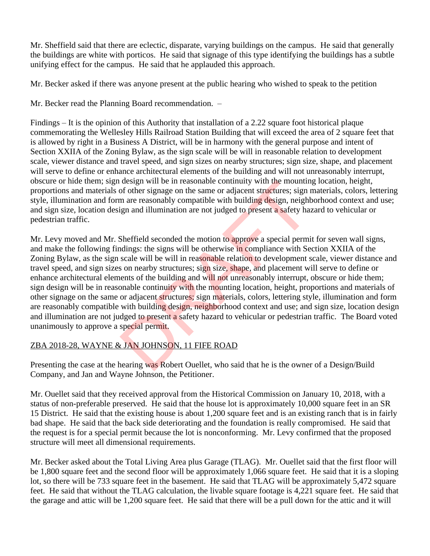Mr. Sheffield said that there are eclectic, disparate, varying buildings on the campus. He said that generally the buildings are white with porticos. He said that signage of this type identifying the buildings has a subtle unifying effect for the campus. He said that he applauded this approach.

Mr. Becker asked if there was anyone present at the public hearing who wished to speak to the petition

Mr. Becker read the Planning Board recommendation. –

Findings – It is the opinion of this Authority that installation of a 2.22 square foot historical plaque commemorating the Wellesley Hills Railroad Station Building that will exceed the area of 2 square feet that is allowed by right in a Business A District, will be in harmony with the general purpose and intent of Section XXIIA of the Zoning Bylaw, as the sign scale will be will in reasonable relation to development scale, viewer distance and travel speed, and sign sizes on nearby structures; sign size, shape, and placement will serve to define or enhance architectural elements of the building and will not unreasonably interrupt, obscure or hide them; sign design will be in reasonable continuity with the mounting location, height, proportions and materials of other signage on the same or adjacent structures; sign materials, colors, lettering style, illumination and form are reasonably compatible with building design, neighborhood context and use; and sign size, location design and illumination are not judged to present a safety hazard to vehicular or pedestrian traffic.

Mr. Levy moved and Mr. Sheffield seconded the motion to approve a special permit for seven wall signs, and make the following findings: the signs will be otherwise in compliance with Section XXIIA of the Zoning Bylaw, as the sign scale will be will in reasonable relation to development scale, viewer distance and travel speed, and sign sizes on nearby structures; sign size, shape, and placement will serve to define or enhance architectural elements of the building and will not unreasonably interrupt, obscure or hide them; sign design will be in reasonable continuity with the mounting location, height, proportions and materials of other signage on the same or adjacent structures; sign materials, colors, lettering style, illumination and form are reasonably compatible with building design, neighborhood context and use; and sign size, location design and illumination are not judged to present a safety hazard to vehicular or pedestrian traffic. The Board voted unanimously to approve a special permit. design will be in reasonable continuity with the mountin<br>of other signage on the same or adjacent structures; sign in<br>are reasonably compatible with building design, neight<br>ign and illumination are not judged to present a

## ZBA 2018-28, WAYNE & JAN JOHNSON, 11 FIFE ROAD

Presenting the case at the hearing was Robert Ouellet, who said that he is the owner of a Design/Build Company, and Jan and Wayne Johnson, the Petitioner.

Mr. Ouellet said that they received approval from the Historical Commission on January 10, 2018, with a status of non-preferable preserved. He said that the house lot is approximately 10,000 square feet in an SR 15 District. He said that the existing house is about 1,200 square feet and is an existing ranch that is in fairly bad shape. He said that the back side deteriorating and the foundation is really compromised. He said that the request is for a special permit because the lot is nonconforming. Mr. Levy confirmed that the proposed structure will meet all dimensional requirements.

Mr. Becker asked about the Total Living Area plus Garage (TLAG). Mr. Ouellet said that the first floor will be 1,800 square feet and the second floor will be approximately 1,066 square feet. He said that it is a sloping lot, so there will be 733 square feet in the basement. He said that TLAG will be approximately 5,472 square feet. He said that without the TLAG calculation, the livable square footage is 4,221 square feet. He said that the garage and attic will be 1,200 square feet. He said that there will be a pull down for the attic and it will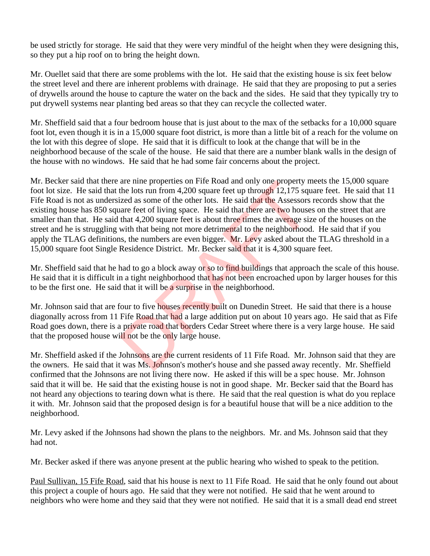be used strictly for storage. He said that they were very mindful of the height when they were designing this, so they put a hip roof on to bring the height down.

Mr. Ouellet said that there are some problems with the lot. He said that the existing house is six feet below the street level and there are inherent problems with drainage. He said that they are proposing to put a series of drywells around the house to capture the water on the back and the sides. He said that they typically try to put drywell systems near planting bed areas so that they can recycle the collected water.

Mr. Sheffield said that a four bedroom house that is just about to the max of the setbacks for a 10,000 square foot lot, even though it is in a 15,000 square foot district, is more than a little bit of a reach for the volume on the lot with this degree of slope. He said that it is difficult to look at the change that will be in the neighborhood because of the scale of the house. He said that there are a number blank walls in the design of the house with no windows. He said that he had some fair concerns about the project.

Mr. Becker said that there are nine properties on Fife Road and only one property meets the 15,000 square foot lot size. He said that the lots run from 4,200 square feet up through 12,175 square feet. He said that 11 Fife Road is not as undersized as some of the other lots. He said that the Assessors records show that the existing house has 850 square feet of living space. He said that there are two houses on the street that are smaller than that. He said that 4,200 square feet is about three times the average size of the houses on the street and he is struggling with that being not more detrimental to the neighborhood. He said that if you apply the TLAG definitions, the numbers are even bigger. Mr. Levy asked about the TLAG threshold in a 15,000 square foot Single Residence District. Mr. Becker said that it is 4,300 square feet. are nine properties on Fife Koad and only one property in<br>the lots run from 4,200 square feet up through 12,175 squared as some of the other lots. He said that there are two house<br>that 4,200 square feet is about three time

Mr. Sheffield said that he had to go a block away or so to find buildings that approach the scale of this house. He said that it is difficult in a tight neighborhood that has not been encroached upon by larger houses for this to be the first one. He said that it will be a surprise in the neighborhood.

Mr. Johnson said that are four to five houses recently built on Dunedin Street. He said that there is a house diagonally across from 11 Fife Road that had a large addition put on about 10 years ago. He said that as Fife Road goes down, there is a private road that borders Cedar Street where there is a very large house. He said that the proposed house will not be the only large house.

Mr. Sheffield asked if the Johnsons are the current residents of 11 Fife Road. Mr. Johnson said that they are the owners. He said that it was Ms. Johnson's mother's house and she passed away recently. Mr. Sheffield confirmed that the Johnsons are not living there now. He asked if this will be a spec house. Mr. Johnson said that it will be. He said that the existing house is not in good shape. Mr. Becker said that the Board has not heard any objections to tearing down what is there. He said that the real question is what do you replace it with. Mr. Johnson said that the proposed design is for a beautiful house that will be a nice addition to the neighborhood.

Mr. Levy asked if the Johnsons had shown the plans to the neighbors. Mr. and Ms. Johnson said that they had not.

Mr. Becker asked if there was anyone present at the public hearing who wished to speak to the petition.

Paul Sullivan, 15 Fife Road, said that his house is next to 11 Fife Road. He said that he only found out about this project a couple of hours ago. He said that they were not notified. He said that he went around to neighbors who were home and they said that they were not notified. He said that it is a small dead end street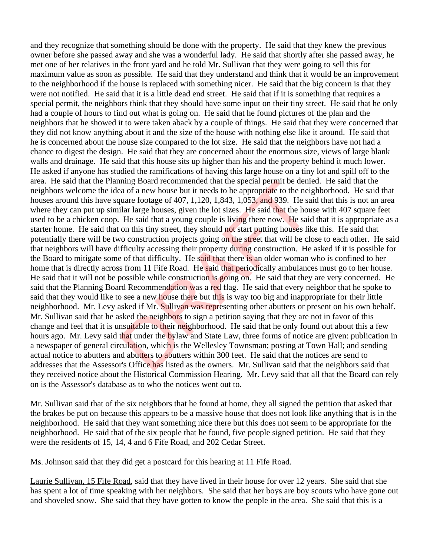and they recognize that something should be done with the property. He said that they knew the previous owner before she passed away and she was a wonderful lady. He said that shortly after she passed away, he met one of her relatives in the front yard and he told Mr. Sullivan that they were going to sell this for maximum value as soon as possible. He said that they understand and think that it would be an improvement to the neighborhood if the house is replaced with something nicer. He said that the big concern is that they were not notified. He said that it is a little dead end street. He said that if it is something that requires a special permit, the neighbors think that they should have some input on their tiny street. He said that he only had a couple of hours to find out what is going on. He said that he found pictures of the plan and the neighbors that he showed it to were taken aback by a couple of things. He said that they were concerned that they did not know anything about it and the size of the house with nothing else like it around. He said that he is concerned about the house size compared to the lot size. He said that the neighbors have not had a chance to digest the design. He said that they are concerned about the enormous size, views of large blank walls and drainage. He said that this house sits up higher than his and the property behind it much lower. He asked if anyone has studied the ramifications of having this large house on a tiny lot and spill off to the area. He said that the Planning Board recommended that the special permit be denied. He said that the neighbors welcome the idea of a new house but it needs to be appropriate to the neighborhood. He said that houses around this have square footage of 407, 1,120, 1,843, 1,053, and 939. He said that this is not an area where they can put up similar large houses, given the lot sizes. He said that the house with 407 square feet used to be a chicken coop. He said that a young couple is living there now. He said that it is appropriate as a starter home. He said that on this tiny street, they should not start putting houses like this. He said that potentially there will be two construction projects going on the street that will be close to each other. He said that neighbors will have difficulty accessing their property during construction. He asked if it is possible for the Board to mitigate some of that difficulty. He said that there is an older woman who is confined to her home that is directly across from 11 Fife Road. He said that periodically ambulances must go to her house. He said that it will not be possible while construction is going on. He said that they are very concerned. He said that the Planning Board Recommendation was a red flag. He said that every neighbor that he spoke to said that they would like to see a new house there but this is way too big and inappropriate for their little neighborhood. Mr. Levy asked if Mr. Sullivan was representing other abutters or present on his own behalf. Mr. Sullivan said that he asked the neighbors to sign a petition saying that they are not in favor of this change and feel that it is unsuitable to their neighborhood. He said that he only found out about this a few hours ago. Mr. Levy said that under the bylaw and State Law, three forms of notice are given: publication in a newspaper of general circulation, which is the Wellesley Townsman; posting at Town Hall; and sending actual notice to abutters and abutters to abutters within 300 feet. He said that the notices are send to addresses that the Assessor's Office has listed as the owners. Mr. Sullivan said that the neighbors said that they received notice about the Historical Commission Hearing. Mr. Levy said that all that the Board can rely on is the Assessor's database as to who the notices went out to. ming Board recommended that the special permit be deniated and of a new house but it needs to be appropriate to the neiation and the said that a young couple is living there now. He said that the houd He said that a young

Mr. Sullivan said that of the six neighbors that he found at home, they all signed the petition that asked that the brakes be put on because this appears to be a massive house that does not look like anything that is in the neighborhood. He said that they want something nice there but this does not seem to be appropriate for the neighborhood. He said that of the six people that he found, five people signed petition. He said that they were the residents of 15, 14, 4 and 6 Fife Road, and 202 Cedar Street.

Ms. Johnson said that they did get a postcard for this hearing at 11 Fife Road.

Laurie Sullivan, 15 Fife Road, said that they have lived in their house for over 12 years. She said that she has spent a lot of time speaking with her neighbors. She said that her boys are boy scouts who have gone out and shoveled snow. She said that they have gotten to know the people in the area. She said that this is a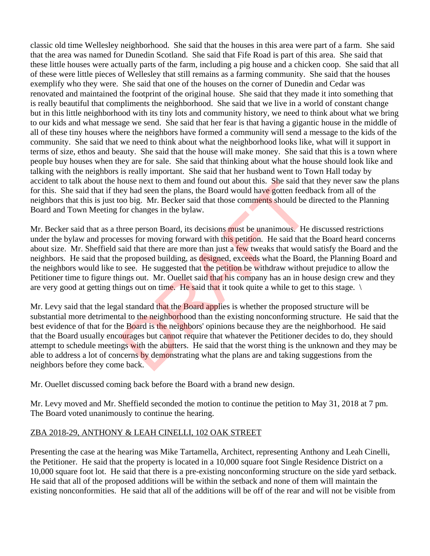classic old time Wellesley neighborhood. She said that the houses in this area were part of a farm. She said that the area was named for Dunedin Scotland. She said that Fife Road is part of this area. She said that these little houses were actually parts of the farm, including a pig house and a chicken coop. She said that all of these were little pieces of Wellesley that still remains as a farming community. She said that the houses exemplify who they were. She said that one of the houses on the corner of Dunedin and Cedar was renovated and maintained the footprint of the original house. She said that they made it into something that is really beautiful that compliments the neighborhood. She said that we live in a world of constant change but in this little neighborhood with its tiny lots and community history, we need to think about what we bring to our kids and what message we send. She said that her fear is that having a gigantic house in the middle of all of these tiny houses where the neighbors have formed a community will send a message to the kids of the community. She said that we need to think about what the neighborhood looks like, what will it support in terms of size, ethos and beauty. She said that the house will make money. She said that this is a town where people buy houses when they are for sale. She said that thinking about what the house should look like and talking with the neighbors is really important. She said that her husband went to Town Hall today by accident to talk about the house next to them and found out about this. She said that they never saw the plans for this. She said that if they had seen the plans, the Board would have gotten feedback from all of the neighbors that this is just too big. Mr. Becker said that those comments should be directed to the Planning Board and Town Meeting for changes in the bylaw.

Mr. Becker said that as a three person Board, its decisions must be unanimous. He discussed restrictions under the bylaw and processes for moving forward with this petition. He said that the Board heard concerns about size. Mr. Sheffield said that there are more than just a few tweaks that would satisfy the Board and the neighbors. He said that the proposed building, as designed, exceeds what the Board, the Planning Board and the neighbors would like to see. He suggested that the petition be withdraw without prejudice to allow the Petitioner time to figure things out. Mr. Ouellet said that his company has an in house design crew and they are very good at getting things out on time. He said that it took quite a while to get to this stage.  $\setminus$ 

Mr. Levy said that the legal standard that the **Board applies** is whether the proposed structure will be substantial more detrimental to the neighborhood than the existing nonconforming structure. He said that the best evidence of that for the Board is the neighbors' opinions because they are the neighborhood. He said that the Board usually encourages but cannot require that whatever the Petitioner decides to do, they should attempt to schedule meetings with the abutters. He said that the worst thing is the unknown and they may be able to address a lot of concerns by demonstrating what the plans are and taking suggestions from the neighbors before they come back. browse next to them and round out about this. She said that ey had seen the plans, the Board would have gotten feed too big. Mr. Becker said that those comments should be to the comments in the bylaw.<br>There person Board, i

Mr. Ouellet discussed coming back before the Board with a brand new design.

Mr. Levy moved and Mr. Sheffield seconded the motion to continue the petition to May 31, 2018 at 7 pm. The Board voted unanimously to continue the hearing.

## ZBA 2018-29, ANTHONY & LEAH CINELLI, 102 OAK STREET

Presenting the case at the hearing was Mike Tartamella, Architect, representing Anthony and Leah Cinelli, the Petitioner. He said that the property is located in a 10,000 square foot Single Residence District on a 10,000 square foot lot. He said that there is a pre-existing nonconforming structure on the side yard setback. He said that all of the proposed additions will be within the setback and none of them will maintain the existing nonconformities. He said that all of the additions will be off of the rear and will not be visible from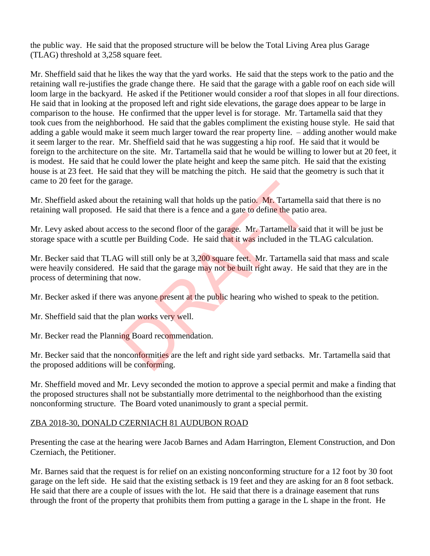the public way. He said that the proposed structure will be below the Total Living Area plus Garage (TLAG) threshold at 3,258 square feet.

Mr. Sheffield said that he likes the way that the yard works. He said that the steps work to the patio and the retaining wall re-justifies the grade change there. He said that the garage with a gable roof on each side will loom large in the backyard. He asked if the Petitioner would consider a roof that slopes in all four directions. He said that in looking at the proposed left and right side elevations, the garage does appear to be large in comparison to the house. He confirmed that the upper level is for storage. Mr. Tartamella said that they took cues from the neighborhood. He said that the gables compliment the existing house style. He said that adding a gable would make it seem much larger toward the rear property line. – adding another would make it seem larger to the rear. Mr. Sheffield said that he was suggesting a hip roof. He said that it would be foreign to the architecture on the site. Mr. Tartamella said that he would be willing to lower but at 20 feet, it is modest. He said that he could lower the plate height and keep the same pitch. He said that the existing house is at 23 feet. He said that they will be matching the pitch. He said that the geometry is such that it came to 20 feet for the garage.

Mr. Sheffield asked about the retaining wall that holds up the patio. Mr. Tartamella said that there is no retaining wall proposed. He said that there is a fence and a gate to define the patio area.

Mr. Levy asked about access to the second floor of the garage. Mr. Tartamella said that it will be just be storage space with a scuttle per Building Code. He said that it was included in the TLAG calculation.

Mr. Becker said that TLAG will still only be at 3,200 square feet. Mr. Tartamella said that mass and scale were heavily considered. He said that the garage may not be built right away. He said that they are in the process of determining that now. age.<br>
the retaining wall that holds up the patio. Mr. Tartamella<br>
de said that there is a fence and a gate to define the patio<br>
ess to the second floor of the garage. Mr. Tartamella said<br>
e per Building Code. He said that

Mr. Becker asked if there was anyone present at the public hearing who wished to speak to the petition.

Mr. Sheffield said that the plan works very well.

Mr. Becker read the Planning Board recommendation.

Mr. Becker said that the nonconformities are the left and right side yard setbacks. Mr. Tartamella said that the proposed additions will be conforming.

Mr. Sheffield moved and Mr. Levy seconded the motion to approve a special permit and make a finding that the proposed structures shall not be substantially more detrimental to the neighborhood than the existing nonconforming structure. The Board voted unanimously to grant a special permit.

### ZBA 2018-30, DONALD CZERNIACH 81 AUDUBON ROAD

Presenting the case at the hearing were Jacob Barnes and Adam Harrington, Element Construction, and Don Czerniach, the Petitioner.

Mr. Barnes said that the request is for relief on an existing nonconforming structure for a 12 foot by 30 foot garage on the left side. He said that the existing setback is 19 feet and they are asking for an 8 foot setback. He said that there are a couple of issues with the lot. He said that there is a drainage easement that runs through the front of the property that prohibits them from putting a garage in the L shape in the front. He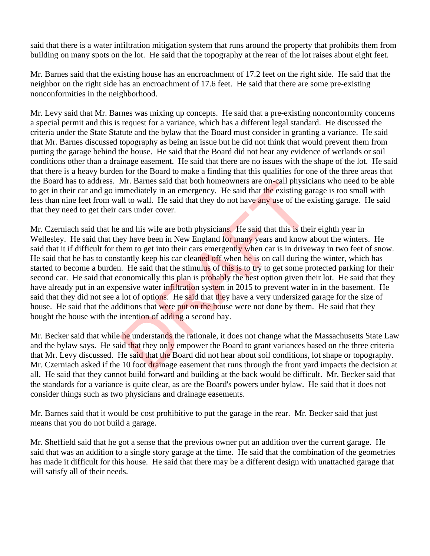said that there is a water infiltration mitigation system that runs around the property that prohibits them from building on many spots on the lot. He said that the topography at the rear of the lot raises about eight feet.

Mr. Barnes said that the existing house has an encroachment of 17.2 feet on the right side. He said that the neighbor on the right side has an encroachment of 17.6 feet. He said that there are some pre-existing nonconformities in the neighborhood.

Mr. Levy said that Mr. Barnes was mixing up concepts. He said that a pre-existing nonconformity concerns a special permit and this is request for a variance, which has a different legal standard. He discussed the criteria under the State Statute and the bylaw that the Board must consider in granting a variance. He said that Mr. Barnes discussed topography as being an issue but he did not think that would prevent them from putting the garage behind the house. He said that the Board did not hear any evidence of wetlands or soil conditions other than a drainage easement. He said that there are no issues with the shape of the lot. He said that there is a heavy burden for the Board to make a finding that this qualifies for one of the three areas that the Board has to address. Mr. Barnes said that both homeowners are on-call physicians who need to be able to get in their car and go immediately in an emergency. He said that the existing garage is too small with less than nine feet from wall to wall. He said that they do not have any use of the existing garage. He said that they need to get their cars under cover.

Mr. Czerniach said that he and his wife are both physicians. He said that this is their eighth year in Wellesley. He said that they have been in New England for many years and know about the winters. He said that it if difficult for them to get into their cars emergently when car is in driveway in two feet of snow. He said that he has to constantly keep his car cleaned off when he is on call during the winter, which has started to become a burden. He said that the stimulus of this is to try to get some protected parking for their second car. He said that economically this plan is probably the best option given their lot. He said that they have already put in an expensive water infiltration system in 2015 to prevent water in in the basement. He said that they did not see a lot of options. He said that they have a very undersized garage for the size of house. He said that the additions that were put on the house were not done by them. He said that they bought the house with the intention of adding a second bay. Mr. Barnes sala that both nomeowners are on-call physic<br>nmediately in an emergency. He said that the existing ga<br>ull to wall. He said that they do not have any use of the e<br>ars under cover.<br>and his wife are both physicians

Mr. Becker said that while he understands the rationale, it does not change what the Massachusetts State Law and the bylaw says. He said that they only empower the Board to grant variances based on the three criteria that Mr. Levy discussed. He said that the Board did not hear about soil conditions, lot shape or topography. Mr. Czerniach asked if the 10 foot drainage easement that runs through the front yard impacts the decision at all. He said that they cannot build forward and building at the back would be difficult. Mr. Becker said that the standards for a variance is quite clear, as are the Board's powers under bylaw. He said that it does not consider things such as two physicians and drainage easements.

Mr. Barnes said that it would be cost prohibitive to put the garage in the rear. Mr. Becker said that just means that you do not build a garage.

Mr. Sheffield said that he got a sense that the previous owner put an addition over the current garage. He said that was an addition to a single story garage at the time. He said that the combination of the geometries has made it difficult for this house. He said that there may be a different design with unattached garage that will satisfy all of their needs.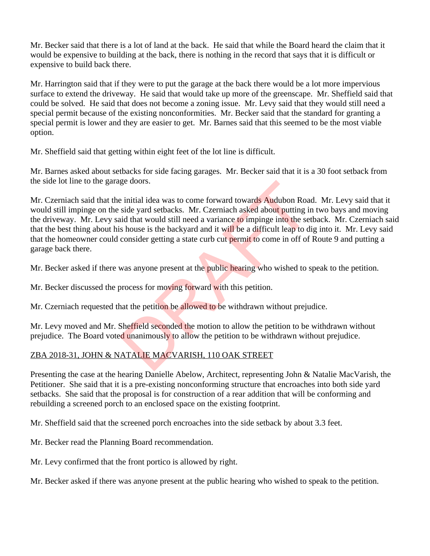Mr. Becker said that there is a lot of land at the back. He said that while the Board heard the claim that it would be expensive to building at the back, there is nothing in the record that says that it is difficult or expensive to build back there.

Mr. Harrington said that if they were to put the garage at the back there would be a lot more impervious surface to extend the driveway. He said that would take up more of the greenscape. Mr. Sheffield said that could be solved. He said that does not become a zoning issue. Mr. Levy said that they would still need a special permit because of the existing nonconformities. Mr. Becker said that the standard for granting a special permit is lower and they are easier to get. Mr. Barnes said that this seemed to be the most viable option.

Mr. Sheffield said that getting within eight feet of the lot line is difficult.

Mr. Barnes asked about setbacks for side facing garages. Mr. Becker said that it is a 30 foot setback from the side lot line to the garage doors.

Mr. Czerniach said that the initial idea was to come forward towards Audubon Road. Mr. Levy said that it would still impinge on the side yard setbacks. Mr. Czerniach asked about putting in two bays and moving the driveway. Mr. Levy said that would still need a variance to impinge into the setback. Mr. Czerniach said that the best thing about his house is the backyard and it will be a difficult leap to dig into it. Mr. Levy said that the homeowner could consider getting a state curb cut permit to come in off of Route 9 and putting a garage back there. e initial idea was to come forward towards Audubon Roa<br>side yard setbacks. Mr. Czerniach asked about putting in<br>id that would still need a variance to impinge into the set<br>s house is the backyard and it will be a difficult

Mr. Becker asked if there was anyone present at the public hearing who wished to speak to the petition.

Mr. Becker discussed the process for moving forward with this petition.

Mr. Czerniach requested that the petition be allowed to be withdrawn without prejudice.

Mr. Levy moved and Mr. Sheffield seconded the motion to allow the petition to be withdrawn without prejudice. The Board voted unanimously to allow the petition to be withdrawn without prejudice.

# ZBA 2018-31, JOHN & NATALIE MACVARISH, 110 OAK STREET

Presenting the case at the hearing Danielle Abelow, Architect, representing John & Natalie MacVarish, the Petitioner. She said that it is a pre-existing nonconforming structure that encroaches into both side yard setbacks. She said that the proposal is for construction of a rear addition that will be conforming and rebuilding a screened porch to an enclosed space on the existing footprint.

Mr. Sheffield said that the screened porch encroaches into the side setback by about 3.3 feet.

Mr. Becker read the Planning Board recommendation.

Mr. Levy confirmed that the front portico is allowed by right.

Mr. Becker asked if there was anyone present at the public hearing who wished to speak to the petition.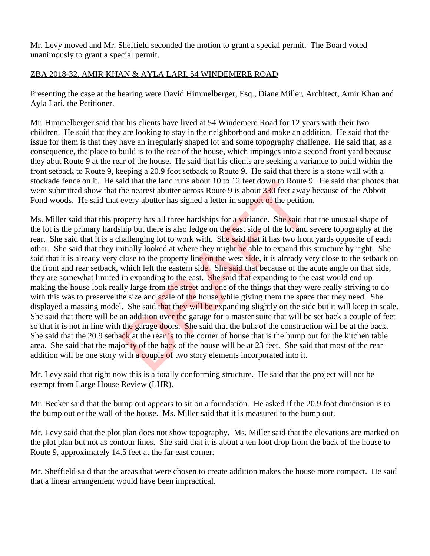Mr. Levy moved and Mr. Sheffield seconded the motion to grant a special permit. The Board voted unanimously to grant a special permit.

### ZBA 2018-32, AMIR KHAN & AYLA LARI, 54 WINDEMERE ROAD

Presenting the case at the hearing were David Himmelberger, Esq., Diane Miller, Architect, Amir Khan and Ayla Lari, the Petitioner.

Mr. Himmelberger said that his clients have lived at 54 Windemere Road for 12 years with their two children. He said that they are looking to stay in the neighborhood and make an addition. He said that the issue for them is that they have an irregularly shaped lot and some topography challenge. He said that, as a consequence, the place to build is to the rear of the house, which impinges into a second front yard because they abut Route 9 at the rear of the house. He said that his clients are seeking a variance to build within the front setback to Route 9, keeping a 20.9 foot setback to Route 9. He said that there is a stone wall with a stockade fence on it. He said that the land runs about 10 to 12 feet down to Route 9. He said that photos that were submitted show that the nearest abutter across Route 9 is about 330 feet away because of the Abbott Pond woods. He said that every abutter has signed a letter in support of the petition.

Ms. Miller said that this property has all three hardships for a variance. She said that the unusual shape of the lot is the primary hardship but there is also ledge on the east side of the lot and severe topography at the rear. She said that it is a challenging lot to work with. She said that it has two front yards opposite of each other. She said that they initially looked at where they might be able to expand this structure by right. She said that it is already very close to the property line on the west side, it is already very close to the setback on the front and rear setback, which left the eastern side. She said that because of the acute angle on that side, they are somewhat limited in expanding to the east. She said that expanding to the east would end up making the house look really large from the street and one of the things that they were really striving to do with this was to preserve the size and scale of the house while giving them the space that they need. She displayed a massing model. She said that they will be expanding slightly on the side but it will keep in scale. She said that there will be an addition over the garage for a master suite that will be set back a couple of feet so that it is not in line with the garage doors. She said that the bulk of the construction will be at the back. She said that the 20.9 setback at the rear is to the corner of house that is the bump out for the kitchen table area. She said that the majority of the back of the house will be at 23 feet. She said that most of the rear addition will be one story with a couple of two story elements incorporated into it. and that the land runs about 10 to 12 feet down to Koute 5<br>the nearest abutter across Route 9 is about 330 feet away<br>every abutter has signed a letter in support of the petitior<br>operty has all three hardships for a varian

Mr. Levy said that right now this is a totally conforming structure. He said that the project will not be exempt from Large House Review (LHR).

Mr. Becker said that the bump out appears to sit on a foundation. He asked if the 20.9 foot dimension is to the bump out or the wall of the house. Ms. Miller said that it is measured to the bump out.

Mr. Levy said that the plot plan does not show topography. Ms. Miller said that the elevations are marked on the plot plan but not as contour lines. She said that it is about a ten foot drop from the back of the house to Route 9, approximately 14.5 feet at the far east corner.

Mr. Sheffield said that the areas that were chosen to create addition makes the house more compact. He said that a linear arrangement would have been impractical.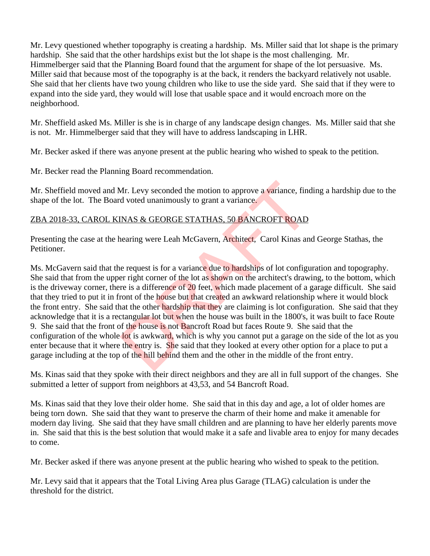Mr. Levy questioned whether topography is creating a hardship. Ms. Miller said that lot shape is the primary hardship. She said that the other hardships exist but the lot shape is the most challenging. Mr. Himmelberger said that the Planning Board found that the argument for shape of the lot persuasive. Ms. Miller said that because most of the topography is at the back, it renders the backyard relatively not usable. She said that her clients have two young children who like to use the side yard. She said that if they were to expand into the side yard, they would will lose that usable space and it would encroach more on the neighborhood.

Mr. Sheffield asked Ms. Miller is she is in charge of any landscape design changes. Ms. Miller said that she is not. Mr. Himmelberger said that they will have to address landscaping in LHR.

Mr. Becker asked if there was anyone present at the public hearing who wished to speak to the petition.

Mr. Becker read the Planning Board recommendation.

Mr. Sheffield moved and Mr. Levy seconded the motion to approve a variance, finding a hardship due to the shape of the lot. The Board voted unanimously to grant a variance.

## ZBA 2018-33, CAROL KINAS & GEORGE STATHAS, 50 BANCROFT ROAD

Presenting the case at the hearing were Leah McGavern, Architect, Carol Kinas and George Stathas, the Petitioner.

Ms. McGavern said that the request is for a variance due to hardships of lot configuration and topography. She said that from the upper right corner of the lot as shown on the architect's drawing, to the bottom, which is the driveway corner, there is a difference of 20 feet, which made placement of a garage difficult. She said that they tried to put it in front of the house but that created an awkward relationship where it would block the front entry. She said that the other hardship that they are claiming is lot configuration. She said that they acknowledge that it is a rectangular lot but when the house was built in the 1800's, it was built to face Route 9. She said that the front of the house is not Bancroft Road but faces Route 9. She said that the configuration of the whole lot is awkward, which is why you cannot put a garage on the side of the lot as you enter because that it where the entry is. She said that they looked at every other option for a place to put a garage including at the top of the hill behind them and the other in the middle of the front entry. Mr. Levy seconded the motion to approve a variance, find<br>d voted unanimously to grant a variance.<br>
NAS & GEORGE STATHAS, 50 BANCROFT ROAD<br>
nearing were Leah McGavern, Architect, Carol Kinas an<br>
er request is for a variance

Ms. Kinas said that they spoke with their direct neighbors and they are all in full support of the changes. She submitted a letter of support from neighbors at 43,53, and 54 Bancroft Road.

Ms. Kinas said that they love their older home. She said that in this day and age, a lot of older homes are being torn down. She said that they want to preserve the charm of their home and make it amenable for modern day living. She said that they have small children and are planning to have her elderly parents move in. She said that this is the best solution that would make it a safe and livable area to enjoy for many decades to come.

Mr. Becker asked if there was anyone present at the public hearing who wished to speak to the petition.

Mr. Levy said that it appears that the Total Living Area plus Garage (TLAG) calculation is under the threshold for the district.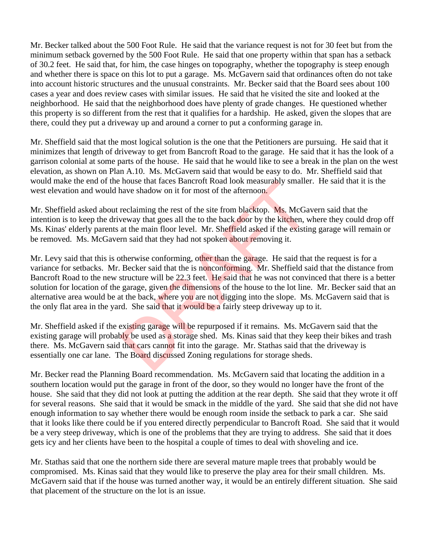Mr. Becker talked about the 500 Foot Rule. He said that the variance request is not for 30 feet but from the minimum setback governed by the 500 Foot Rule. He said that one property within that span has a setback of 30.2 feet. He said that, for him, the case hinges on topography, whether the topography is steep enough and whether there is space on this lot to put a garage. Ms. McGavern said that ordinances often do not take into account historic structures and the unusual constraints. Mr. Becker said that the Board sees about 100 cases a year and does review cases with similar issues. He said that he visited the site and looked at the neighborhood. He said that the neighborhood does have plenty of grade changes. He questioned whether this property is so different from the rest that it qualifies for a hardship. He asked, given the slopes that are there, could they put a driveway up and around a corner to put a conforming garage in.

Mr. Sheffield said that the most logical solution is the one that the Petitioners are pursuing. He said that it minimizes that length of driveway to get from Bancroft Road to the garage. He said that it has the look of a garrison colonial at some parts of the house. He said that he would like to see a break in the plan on the west elevation, as shown on Plan A.10. Ms. McGavern said that would be easy to do. Mr. Sheffield said that would make the end of the house that faces Bancroft Road look measurably smaller. He said that it is the west elevation and would have shadow on it for most of the afternoon.

Mr. Sheffield asked about reclaiming the rest of the site from blacktop. Ms. McGavern said that the intention is to keep the driveway that goes all the to the back door by the kitchen, where they could drop off Ms. Kinas' elderly parents at the main floor level. Mr. Sheffield asked if the existing garage will remain or be removed. Ms. McGavern said that they had not spoken about removing it.

Mr. Levy said that this is otherwise conforming, other than the garage. He said that the request is for a variance for setbacks. Mr. Becker said that the is nonconforming. Mr. Sheffield said that the distance from Bancroft Road to the new structure will be 22.3 feet. He said that he was not convinced that there is a better solution for location of the garage, given the dimensions of the house to the lot line. Mr. Becker said that an alternative area would be at the back, where you are not digging into the slope. Ms. McGavern said that is the only flat area in the yard. She said that it would be a fairly steep driveway up to it. nouse that races Bancroft Koad look measurably smaller<br>have shadow on it for most of the afternoon.<br>reclaiming the rest of the site from blacktop. Ms. McGar<br>eway that goes all the to the back door by the kitchen, w<br>at the

Mr. Sheffield asked if the existing garage will be repurposed if it remains. Ms. McGavern said that the existing garage will probably be used as a storage shed. Ms. Kinas said that they keep their bikes and trash there. Ms. McGavern said that cars cannot fit into the garage. Mr. Stathas said that the driveway is essentially one car lane. The Board discussed Zoning regulations for storage sheds.

Mr. Becker read the Planning Board recommendation. Ms. McGavern said that locating the addition in a southern location would put the garage in front of the door, so they would no longer have the front of the house. She said that they did not look at putting the addition at the rear depth. She said that they wrote it off for several reasons. She said that it would be smack in the middle of the yard. She said that she did not have enough information to say whether there would be enough room inside the setback to park a car. She said that it looks like there could be if you entered directly perpendicular to Bancroft Road. She said that it would be a very steep driveway, which is one of the problems that they are trying to address. She said that it does gets icy and her clients have been to the hospital a couple of times to deal with shoveling and ice.

Mr. Stathas said that one the northern side there are several mature maple trees that probably would be compromised. Ms. Kinas said that they would like to preserve the play area for their small children. Ms. McGavern said that if the house was turned another way, it would be an entirely different situation. She said that placement of the structure on the lot is an issue.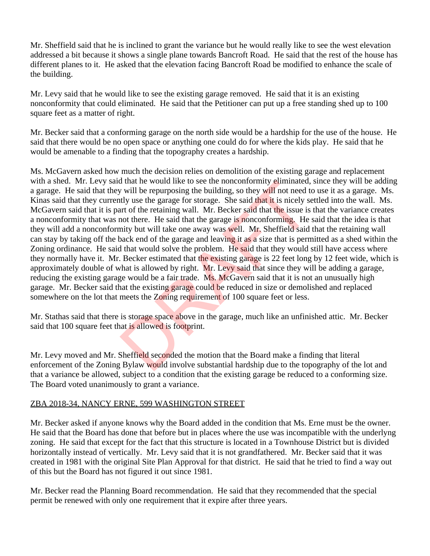Mr. Sheffield said that he is inclined to grant the variance but he would really like to see the west elevation addressed a bit because it shows a single plane towards Bancroft Road. He said that the rest of the house has different planes to it. He asked that the elevation facing Bancroft Road be modified to enhance the scale of the building.

Mr. Levy said that he would like to see the existing garage removed. He said that it is an existing nonconformity that could eliminated. He said that the Petitioner can put up a free standing shed up to 100 square feet as a matter of right.

Mr. Becker said that a conforming garage on the north side would be a hardship for the use of the house. He said that there would be no open space or anything one could do for where the kids play. He said that he would be amenable to a finding that the topography creates a hardship.

Ms. McGavern asked how much the decision relies on demolition of the existing garage and replacement with a shed. Mr. Levy said that he would like to see the nonconformity eliminated, since they will be adding a garage. He said that they will be repurposing the building, so they will not need to use it as a garage. Ms. Kinas said that they currently use the garage for storage. She said that it is nicely settled into the wall. Ms. McGavern said that it is part of the retaining wall. Mr. Becker said that the issue is that the variance creates a nonconformity that was not there. He said that the garage is nonconforming. He said that the idea is that they will add a nonconformity but will take one away was well. Mr. Sheffield said that the retaining wall can stay by taking off the back end of the garage and leaving it as a size that is permitted as a shed within the Zoning ordinance. He said that would solve the problem. He said that they would still have access where they normally have it. Mr. Becker estimated that the existing garage is 22 feet long by 12 feet wide, which is approximately double of what is allowed by right. Mr. Levy said that since they will be adding a garage, reducing the existing garage would be a fair trade. Ms. McGavern said that it is not an unusually high garage. Mr. Becker said that the existing garage could be reduced in size or demolished and replaced somewhere on the lot that meets the Zoning requirement of 100 square feet or less. If that he would like to see the nonconformity enhinated,<br>
y will be repurposing the building, so they will not need t<br>
thy use the garage for storage. She said that it is nicely so<br>
and there. He said that the garage is n

Mr. Stathas said that there is storage space above in the garage, much like an unfinished attic. Mr. Becker said that 100 square feet that is allowed is footprint.

Mr. Levy moved and Mr. Sheffield seconded the motion that the Board make a finding that literal enforcement of the Zoning Bylaw would involve substantial hardship due to the topography of the lot and that a variance be allowed, subject to a condition that the existing garage be reduced to a conforming size. The Board voted unanimously to grant a variance.

### ZBA 2018-34, NANCY ERNE, 599 WASHINGTON STREET

Mr. Becker asked if anyone knows why the Board added in the condition that Ms. Erne must be the owner. He said that the Board has done that before but in places where the use was incompatible with the underlyng zoning. He said that except for the fact that this structure is located in a Townhouse District but is divided horizontally instead of vertically. Mr. Levy said that it is not grandfathered. Mr. Becker said that it was created in 1981 with the original Site Plan Approval for that district. He said that he tried to find a way out of this but the Board has not figured it out since 1981.

Mr. Becker read the Planning Board recommendation. He said that they recommended that the special permit be renewed with only one requirement that it expire after three years.